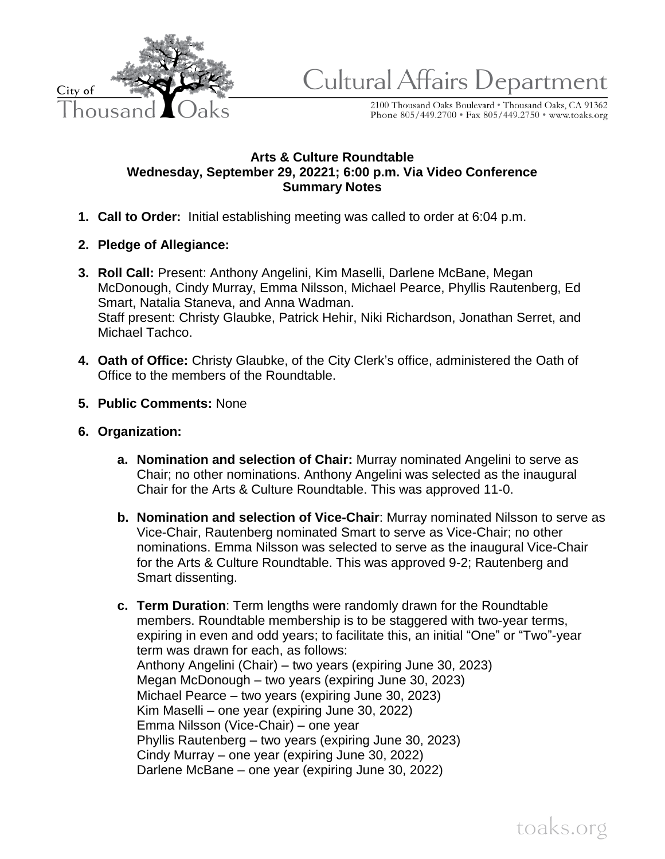

Cultural Affairs Department

2100 Thousand Oaks Boulevard \* Thousand Oaks, CA 91362<br>Phone 805/449.2700 \* Fax 805/449.2750 \* www.toaks.org

## **Arts & Culture Roundtable Wednesday, September 29, 20221; 6:00 p.m. Via Video Conference Summary Notes**

- **1. Call to Order:** Initial establishing meeting was called to order at 6:04 p.m.
- **2. Pledge of Allegiance:**
- **3. Roll Call:** Present: Anthony Angelini, Kim Maselli, Darlene McBane, Megan McDonough, Cindy Murray, Emma Nilsson, Michael Pearce, Phyllis Rautenberg, Ed Smart, Natalia Staneva, and Anna Wadman. Staff present: Christy Glaubke, Patrick Hehir, Niki Richardson, Jonathan Serret, and Michael Tachco.
- **4. Oath of Office:** Christy Glaubke, of the City Clerk's office, administered the Oath of Office to the members of the Roundtable.
- **5. Public Comments:** None
- **6. Organization:**
	- **a. Nomination and selection of Chair:** Murray nominated Angelini to serve as Chair; no other nominations. Anthony Angelini was selected as the inaugural Chair for the Arts & Culture Roundtable. This was approved 11-0.
	- **b. Nomination and selection of Vice-Chair**: Murray nominated Nilsson to serve as Vice-Chair, Rautenberg nominated Smart to serve as Vice-Chair; no other nominations. Emma Nilsson was selected to serve as the inaugural Vice-Chair for the Arts & Culture Roundtable. This was approved 9-2; Rautenberg and Smart dissenting.
	- **c. Term Duration**: Term lengths were randomly drawn for the Roundtable members. Roundtable membership is to be staggered with two-year terms, expiring in even and odd years; to facilitate this, an initial "One" or "Two"-year term was drawn for each, as follows: Anthony Angelini (Chair) – two years (expiring June 30, 2023) Megan McDonough – two years (expiring June 30, 2023) Michael Pearce – two years (expiring June 30, 2023) Kim Maselli – one year (expiring June 30, 2022) Emma Nilsson (Vice-Chair) – one year Phyllis Rautenberg – two years (expiring June 30, 2023) Cindy Murray – one year (expiring June 30, 2022) Darlene McBane – one year (expiring June 30, 2022)